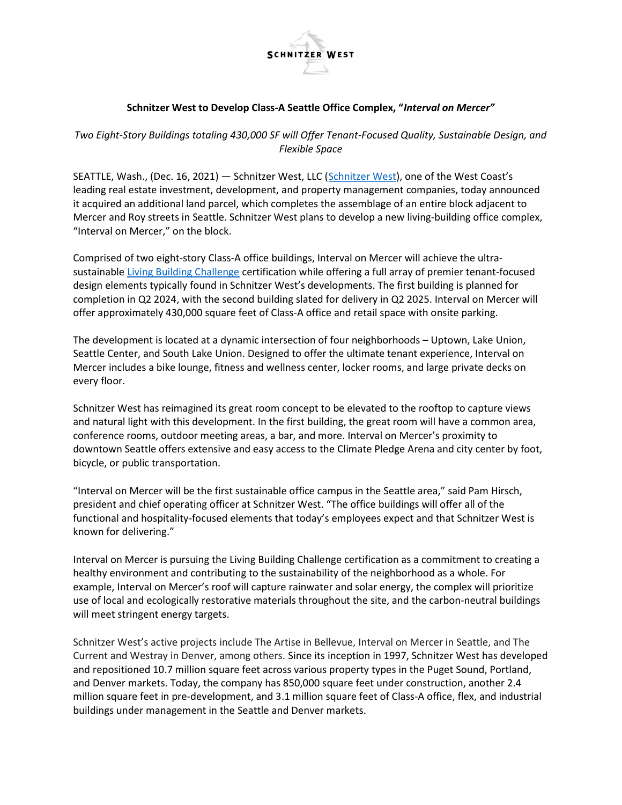

## Schnitzer West to Develop Class-A Seattle Office Complex, "Interval on Mercer"

Two Eight-Story Buildings totaling 430,000 SF will Offer Tenant-Focused Quality, Sustainable Design, and Flexible Space

SEATTLE, Wash., (Dec. 16, 2021) — Schnitzer West, LLC (Schnitzer West), one of the West Coast's leading real estate investment, development, and property management companies, today announced it acquired an additional land parcel, which completes the assemblage of an entire block adjacent to Mercer and Roy streets in Seattle. Schnitzer West plans to develop a new living-building office complex, "Interval on Mercer," on the block.

Comprised of two eight-story Class-A office buildings, Interval on Mercer will achieve the ultrasustainable Living Building Challenge certification while offering a full array of premier tenant-focused design elements typically found in Schnitzer West's developments. The first building is planned for completion in Q2 2024, with the second building slated for delivery in Q2 2025. Interval on Mercer will offer approximately 430,000 square feet of Class-A office and retail space with onsite parking.

The development is located at a dynamic intersection of four neighborhoods – Uptown, Lake Union, Seattle Center, and South Lake Union. Designed to offer the ultimate tenant experience, Interval on Mercer includes a bike lounge, fitness and wellness center, locker rooms, and large private decks on every floor.

Schnitzer West has reimagined its great room concept to be elevated to the rooftop to capture views and natural light with this development. In the first building, the great room will have a common area, conference rooms, outdoor meeting areas, a bar, and more. Interval on Mercer's proximity to downtown Seattle offers extensive and easy access to the Climate Pledge Arena and city center by foot, bicycle, or public transportation.

"Interval on Mercer will be the first sustainable office campus in the Seattle area," said Pam Hirsch, president and chief operating officer at Schnitzer West. "The office buildings will offer all of the functional and hospitality-focused elements that today's employees expect and that Schnitzer West is known for delivering."

Interval on Mercer is pursuing the Living Building Challenge certification as a commitment to creating a healthy environment and contributing to the sustainability of the neighborhood as a whole. For example, Interval on Mercer's roof will capture rainwater and solar energy, the complex will prioritize use of local and ecologically restorative materials throughout the site, and the carbon-neutral buildings will meet stringent energy targets.

Schnitzer West's active projects include The Artise in Bellevue, Interval on Mercer in Seattle, and The Current and Westray in Denver, among others. Since its inception in 1997, Schnitzer West has developed and repositioned 10.7 million square feet across various property types in the Puget Sound, Portland, and Denver markets. Today, the company has 850,000 square feet under construction, another 2.4 million square feet in pre-development, and 3.1 million square feet of Class-A office, flex, and industrial buildings under management in the Seattle and Denver markets.